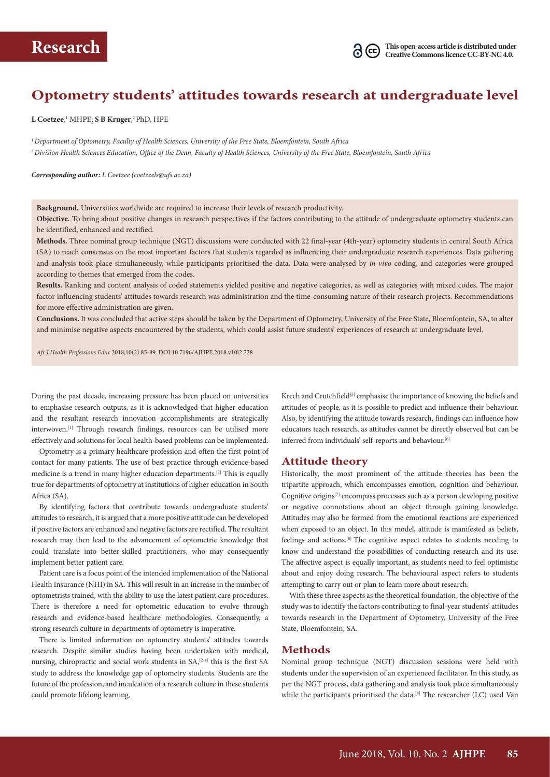

# **Optometry students' attitudes towards research at undergraduate level**

 $\tt L Coetzee,^1 MHPE; S B Kruger,^2 PhD, HPE$ 

<sup>1</sup>*Department of Optometry, Faculty of Health Sciences, University of the Free State, Bloemfontein, South Africa* <sup>2</sup>*Division Health Sciences Education, Office of the Dean, Faculty of Health Sciences, University of the Free State, Bloemfontein, South Africa*

*Corresponding author: L Coetzee (coetzeels@ufs.ac.za)*

**Background.** Universities worldwide are required to increase their levels of research productivity.

**Objective.** To bring about positive changes in research perspectives if the factors contributing to the attitude of undergraduate optometry students can be identified, enhanced and rectified.

**Methods.** Three nominal group technique (NGT) discussions were conducted with 22 final-year (4th-year) optometry students in central South Africa (SA) to reach consensus on the most important factors that students regarded as influencing their undergraduate research experiences. Data gathering and analysis took place simultaneously, while participants prioritised the data. Data were analysed by *in vivo* coding, and categories were grouped according to themes that emerged from the codes.

**Results.** Ranking and content analysis of coded statements yielded positive and negative categories, as well as categories with mixed codes. The major factor influencing students' attitudes towards research was administration and the time-consuming nature of their research projects. Recommendations for more effective administration are given.

**Conclusions.** It was concluded that active steps should be taken by the Department of Optometry, University of the Free State, Bloemfontein, SA, to alter and minimise negative aspects encountered by the students, which could assist future students' experiences of research at undergraduate level.

*Afr J Health Professions Educ* 2018;10(2):85-89. DOI:10.7196/AJHPE.2018.v10i2.728

During the past decade, increasing pressure has been placed on universities to emphasise research outputs, as it is acknowledged that higher education and the resultant research innovation accomplishments are strategically interwoven.[1] Through research findings, resources can be utilised more effectively and solutions for local health-based problems can be implemented.

Optometry is a primary healthcare profession and often the first point of contact for many patients. The use of best practice through evidence-based medicine is a trend in many higher education departments.[2] This is equally true for departments of optometry at institutions of higher education in South Africa (SA).

By identifying factors that contribute towards undergraduate students' attitudes to research, it is argued that a more positive attitude can be developed if positive factors are enhanced and negative factors are rectified. The resultant research may then lead to the advancement of optometric knowledge that could translate into better-skilled practitioners, who may consequently implement better patient care.

Patient care is a focus point of the intended implementation of the National Health Insurance (NHI) in SA. This will result in an increase in the number of optometrists trained, with the ability to use the latest patient care procedures. There is therefore a need for optometric education to evolve through research and evidence-based healthcare methodologies. Consequently, a strong research culture in departments of optometry is imperative.

There is limited information on optometry students' attitudes towards research. Despite similar studies having been undertaken with medical, nursing, chiropractic and social work students in  $SA<sub>1</sub><sup>[2-4]</sup>$  this is the first SA study to address the knowledge gap of optometry students. Students are the future of the profession, and inculcation of a research culture in these students could promote lifelong learning.

Krech and Crutchfield<sup>[5]</sup> emphasise the importance of knowing the beliefs and attitudes of people, as it is possible to predict and influence their behaviour. Also, by identifying the attitude towards research, findings can influence how educators teach research, as attitudes cannot be directly observed but can be inferred from individuals' self-reports and behaviour.<sup>[6]</sup>

#### **Attitude theory**

Historically, the most prominent of the attitude theories has been the tripartite approach, which encompasses emotion, cognition and behaviour. Cognitive origins[7] encompass processes such as a person developing positive or negative connotations about an object through gaining knowledge. Attitudes may also be formed from the emotional reactions are experienced when exposed to an object. In this model, attitude is manifested as beliefs, feelings and actions.[8] The cognitive aspect relates to students needing to know and understand the possibilities of conducting research and its use. The affective aspect is equally important, as students need to feel optimistic about and enjoy doing research. The behavioural aspect refers to students attempting to carry out or plan to learn more about research.

With these three aspects as the theoretical foundation, the objective of the study was to identify the factors contributing to final-year students' attitudes towards research in the Department of Optometry, University of the Free State, Bloemfontein, SA.

### **Methods**

Nominal group technique (NGT) discussion sessions were held with students under the supervision of an experienced facilitator. In this study, as per the NGT process, data gathering and analysis took place simultaneously while the participants prioritised the data.<sup>[8]</sup> The researcher (LC) used Van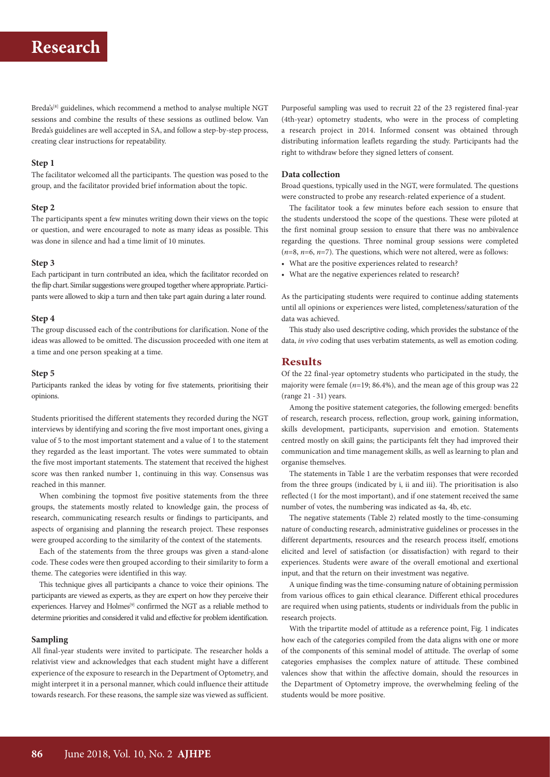# **Research**

Breda's<sup>[8]</sup> guidelines, which recommend a method to analyse multiple NGT sessions and combine the results of these sessions as outlined below. Van Breda's guidelines are well accepted in SA, and follow a step-by-step process, creating clear instructions for repeatability.

#### **Step 1**

The facilitator welcomed all the participants. The question was posed to the group, and the facilitator provided brief information about the topic.

#### **Step 2**

The participants spent a few minutes writing down their views on the topic or question, and were encouraged to note as many ideas as possible. This was done in silence and had a time limit of 10 minutes.

#### **Step 3**

Each participant in turn contributed an idea, which the facilitator recorded on the flip chart. Similar suggestions were grouped together where appropriate. Partici pants were allowed to skip a turn and then take part again during a later round.

#### **Step 4**

The group discussed each of the contributions for clarification. None of the ideas was allowed to be omitted. The discussion proceeded with one item at a time and one person speaking at a time.

#### **Step 5**

Participants ranked the ideas by voting for five statements, prioritising their opinions.

Students prioritised the different statements they recorded during the NGT interviews by identifying and scoring the five most important ones, giving a value of 5 to the most important statement and a value of 1 to the statement they regarded as the least important. The votes were summated to obtain the five most important statements. The statement that received the highest score was then ranked number 1, continuing in this way. Consensus was reached in this manner.

When combining the topmost five positive statements from the three groups, the statements mostly related to knowledge gain, the process of research, communicating research results or findings to participants, and aspects of organising and planning the research project. These responses were grouped according to the similarity of the context of the statements.

Each of the statements from the three groups was given a stand-alone code. These codes were then grouped according to their similarity to form a theme. The categories were identified in this way.

This technique gives all participants a chance to voice their opinions. The participants are viewed as experts, as they are expert on how they perceive their experiences. Harvey and Holmes<sup>[9]</sup> confirmed the NGT as a reliable method to determine priorities and considered it valid and effective for problem identification.

#### **Sampling**

All final-year students were invited to participate. The researcher holds a relativist view and acknowledges that each student might have a different experience of the exposure to research in the Department of Optometry, and might interpret it in a personal manner, which could influence their attitude towards research. For these reasons, the sample size was viewed as sufficient.

Purposeful sampling was used to recruit 22 of the 23 registered final-year (4th-year) optometry students, who were in the process of completing a research project in 2014. Informed consent was obtained through distributing information leaflets regarding the study. Participants had the right to withdraw before they signed letters of consent.

#### **Data collection**

Broad questions, typically used in the NGT, were formulated. The questions were constructed to probe any research-related experience of a student.

The facilitator took a few minutes before each session to ensure that the students understood the scope of the questions. These were piloted at the first nominal group session to ensure that there was no ambivalence regarding the questions. Three nominal group sessions were completed (*n*=8, *n*=6, *n*=7). The questions, which were not altered, were as follows:

• What are the positive experiences related to research?

• What are the negative experiences related to research?

As the participating students were required to continue adding statements until all opinions or experiences were listed, completeness/saturation of the data was achieved.

This study also used descriptive coding, which provides the substance of the data, *in vivo* coding that uses verbatim statements, as well as emotion coding.

## **Results**

Of the 22 final-year optometry students who participated in the study, the majority were female (*n*=19; 86.4%), and the mean age of this group was 22 (range 21 - 31) years.

Among the positive statement categories, the following emerged: benefits of research, research process, reflection, group work, gaining information, skills development, participants, supervision and emotion. Statements centred mostly on skill gains; the participants felt they had improved their communication and time management skills, as well as learning to plan and organise themselves.

The statements in Table 1 are the verbatim responses that were recorded from the three groups (indicated by i, ii and iii). The prioritisation is also reflected (1 for the most important), and if one statement received the same number of votes, the numbering was indicated as 4a, 4b, etc.

The negative statements (Table 2) related mostly to the time-consuming nature of conducting research, administrative guidelines or processes in the different departments, resources and the research process itself, emotions elicited and level of satisfaction (or dissatisfaction) with regard to their experiences. Students were aware of the overall emotional and exertional input, and that the return on their investment was negative.

A unique finding was the time-consuming nature of obtaining permission from various offices to gain ethical clearance. Different ethical procedures are required when using patients, students or individuals from the public in research projects.

With the tripartite model of attitude as a reference point, Fig. 1 indicates how each of the categories compiled from the data aligns with one or more of the components of this seminal model of attitude. The overlap of some categories emphasises the complex nature of attitude. These combined valences show that within the affective domain, should the resources in the Department of Optometry improve, the overwhelming feeling of the students would be more positive.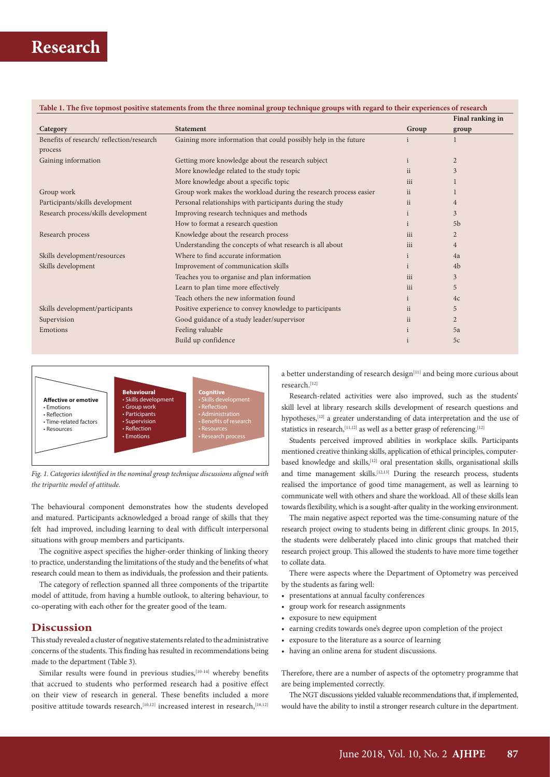|                                                                  | Group        | Final ranking in |
|------------------------------------------------------------------|--------------|------------------|
| <b>Statement</b>                                                 |              | group            |
| Gaining more information that could possibly help in the future  |              |                  |
|                                                                  |              |                  |
| Getting more knowledge about the research subject                |              | $\overline{2}$   |
| More knowledge related to the study topic<br>ii                  |              | 3                |
| More knowledge about a specific topic                            | iii          |                  |
| Group work makes the workload during the research process easier | ii           |                  |
| Personal relationships with participants during the study        | ii           | 4                |
| Improving research techniques and methods                        |              | 3                |
| How to format a research question                                |              | 5 <sub>b</sub>   |
| Knowledge about the research process                             | iii          | $\overline{2}$   |
| Understanding the concepts of what research is all about         | iii          | $\overline{4}$   |
| Where to find accurate information                               |              | 4a               |
| Improvement of communication skills                              |              | 4 <sub>b</sub>   |
| Teaches you to organise and plan information                     | iii          | 3                |
| Learn to plan time more effectively                              | iii          | 5                |
| Teach others the new information found                           | $\mathbf{i}$ | 4c               |
| Positive experience to convey knowledge to participants          |              | 5                |
| Good guidance of a study leader/supervisor<br>ii                 |              | $\overline{2}$   |
| Feeling valuable                                                 |              | 5a               |
| Build up confidence                                              |              | 5c               |
|                                                                  |              | ii               |





The behavioural component demonstrates how the students developed and matured. Participants acknowledged a broad range of skills that they felt had improved, including learning to deal with difficult interpersonal situations with group members and participants.

The cognitive aspect specifies the higher-order thinking of linking theory to practice, understanding the limitations of the study and the benefits of what research could mean to them as individuals, the profession and their patients.

The category of reflection spanned all three components of the tripartite model of attitude, from having a humble outlook, to altering behaviour, to co-operating with each other for the greater good of the team.

## **Discussion**

This study revealed a cluster of negative statements related to the administrative concerns of the students. This finding has resulted in recommendations being made to the department (Table 3).

Similar results were found in previous studies, $[10-14]$  whereby benefits that accrued to students who performed research had a positive effect on their view of research in general. These benefits included a more positive attitude towards research,<sup>[10,12]</sup> increased interest in research,<sup>[10,12]</sup> a better understanding of research design<sup>[11]</sup> and being more curious about research.[12]

Research-related activities were also improved, such as the students' skill level at library research skills development of research questions and hypotheses,<sup>[12]</sup> a greater understanding of data interpretation and the use of statistics in research,  $[11,12]$  as well as a better grasp of referencing.  $[12]$ 

Students perceived improved abilities in workplace skills. Participants mentioned creative thinking skills, application of ethical principles, computerbased knowledge and skills,[12] oral presentation skills, organisational skills and time management skills.<sup>[12,13]</sup> During the research process, students realised the importance of good time management, as well as learning to communicate well with others and share the workload. All of these skills lean towards flexibility, which is a sought-after quality in the working environment.

The main negative aspect reported was the time-consuming nature of the research project owing to students being in different clinic groups. In 2015, the students were deliberately placed into clinic groups that matched their research project group. This allowed the students to have more time together to collate data.

There were aspects where the Department of Optometry was perceived by the students as faring well:

- presentations at annual faculty conferences
- group work for research assignments
- exposure to new equipment
- earning credits towards one's degree upon completion of the project
- exposure to the literature as a source of learning
- having an online arena for student discussions.

Therefore, there are a number of aspects of the optometry programme that are being implemented correctly.

The NGT discussions yielded valuable recommendations that, if implemented, would have the ability to instil a stronger research culture in the department.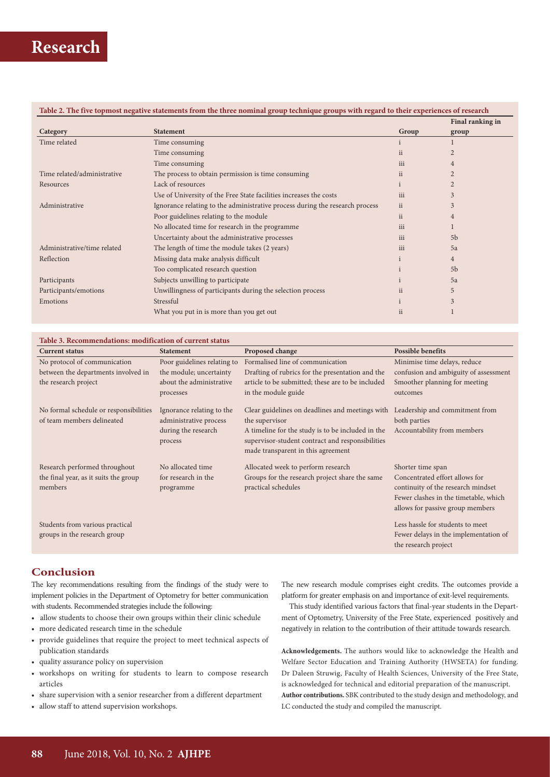|                             |                                                                              |           | Final ranking in |
|-----------------------------|------------------------------------------------------------------------------|-----------|------------------|
| Category                    | <b>Statement</b>                                                             | Group     | group            |
| Time related                | Time consuming                                                               |           |                  |
|                             | Time consuming                                                               | <i>ii</i> |                  |
|                             | Time consuming                                                               | iii       |                  |
| Time related/administrative | The process to obtain permission is time consuming                           | <i>ii</i> |                  |
| Resources                   | Lack of resources                                                            |           |                  |
|                             | Use of University of the Free State facilities increases the costs           | iii       | 3                |
| Administrative              | Ignorance relating to the administrative process during the research process | <i>ii</i> | 3                |
|                             | Poor guidelines relating to the module                                       | <i>ii</i> | 4                |
|                             | No allocated time for research in the programme                              | iii       |                  |
|                             | Uncertainty about the administrative processes                               | iii       | 5 <sub>b</sub>   |
| Administrative/time related | The length of time the module takes (2 years)                                | iii       | 5a               |
| Reflection                  | Missing data make analysis difficult                                         |           | 4                |
|                             | Too complicated research question                                            |           | 5 <sub>b</sub>   |
| Participants                | Subjects unwilling to participate                                            |           | 5a               |
| Participants/emotions       | Unwillingness of participants during the selection process                   | ii.       | 5                |
| Emotions                    | Stressful                                                                    |           | 3                |
|                             | What you put in is more than you get out                                     | ii        |                  |

| Table 3. Recommendations: modification of current status |                             |                                                   |                                       |  |  |  |  |
|----------------------------------------------------------|-----------------------------|---------------------------------------------------|---------------------------------------|--|--|--|--|
| <b>Current status</b>                                    | <b>Statement</b>            | Proposed change                                   | <b>Possible benefits</b>              |  |  |  |  |
| No protocol of communication                             | Poor guidelines relating to | Formalised line of communication                  | Minimise time delays, reduce          |  |  |  |  |
| between the departments involved in                      | the module; uncertainty     | Drafting of rubrics for the presentation and the  | confusion and ambiguity of assessment |  |  |  |  |
| the research project                                     | about the administrative    | article to be submitted; these are to be included | Smoother planning for meeting         |  |  |  |  |
|                                                          | processes                   | in the module guide                               | outcomes                              |  |  |  |  |
| No formal schedule or responsibilities                   | Ignorance relating to the   | Clear guidelines on deadlines and meetings with   | Leadership and commitment from        |  |  |  |  |
| of team members delineated                               | administrative process      | the supervisor                                    | both parties                          |  |  |  |  |
|                                                          | during the research         | A timeline for the study is to be included in the | Accountability from members           |  |  |  |  |
|                                                          | process                     | supervisor-student contract and responsibilities  |                                       |  |  |  |  |
|                                                          |                             | made transparent in this agreement                |                                       |  |  |  |  |
| Research performed throughout                            | No allocated time           | Allocated week to perform research                | Shorter time span                     |  |  |  |  |
| the final year, as it suits the group                    | for research in the         | Groups for the research project share the same    | Concentrated effort allows for        |  |  |  |  |
| members                                                  | programme                   | practical schedules                               | continuity of the research mindset    |  |  |  |  |
|                                                          |                             |                                                   | Fewer clashes in the timetable, which |  |  |  |  |
|                                                          |                             |                                                   | allows for passive group members      |  |  |  |  |
| Students from various practical                          |                             |                                                   | Less hassle for students to meet      |  |  |  |  |
| groups in the research group                             |                             |                                                   | Fewer delays in the implementation of |  |  |  |  |
|                                                          |                             |                                                   | the research project                  |  |  |  |  |

# **Conclusion**

The key recommendations resulting from the findings of the study were to implement policies in the Department of Optometry for better communication with students. Recommended strategies include the following:

- allow students to choose their own groups within their clinic schedule
- more dedicated research time in the schedule
- provide guidelines that require the project to meet technical aspects of publication standards
- quality assurance policy on supervision
- workshops on writing for students to learn to compose research articles
- share supervision with a senior researcher from a different department
- allow staff to attend supervision workshops.

The new research module comprises eight credits. The outcomes provide a platform for greater emphasis on and importance of exit-level requirements.

This study identified various factors that final-year students in the Department of Optometry, University of the Free State, experienced positively and negatively in relation to the contribution of their attitude towards research.

**Acknowledgements.** The authors would like to acknowledge the Health and Welfare Sector Education and Training Authority (HWSETA) for funding. Dr Daleen Struwig, Faculty of Health Sciences, University of the Free State, is acknowledged for technical and editorial preparation of the manuscript. **Author contributions.** SBK contributed to the study design and methodology, and LC conducted the study and compiled the manuscript.